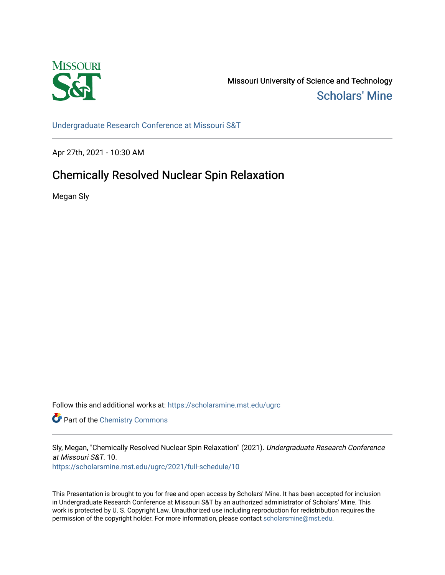

Missouri University of Science and Technology [Scholars' Mine](https://scholarsmine.mst.edu/) 

[Undergraduate Research Conference at Missouri S&T](https://scholarsmine.mst.edu/ugrc)

Apr 27th, 2021 - 10:30 AM

# Chemically Resolved Nuclear Spin Relaxation

Megan Sly

Follow this and additional works at: [https://scholarsmine.mst.edu/ugrc](https://scholarsmine.mst.edu/ugrc?utm_source=scholarsmine.mst.edu%2Fugrc%2F2021%2Ffull-schedule%2F10&utm_medium=PDF&utm_campaign=PDFCoverPages) 

**Part of the Chemistry Commons** 

Sly, Megan, "Chemically Resolved Nuclear Spin Relaxation" (2021). Undergraduate Research Conference at Missouri S&T. 10.

[https://scholarsmine.mst.edu/ugrc/2021/full-schedule/10](https://scholarsmine.mst.edu/ugrc/2021/full-schedule/10?utm_source=scholarsmine.mst.edu%2Fugrc%2F2021%2Ffull-schedule%2F10&utm_medium=PDF&utm_campaign=PDFCoverPages) 

This Presentation is brought to you for free and open access by Scholars' Mine. It has been accepted for inclusion in Undergraduate Research Conference at Missouri S&T by an authorized administrator of Scholars' Mine. This work is protected by U. S. Copyright Law. Unauthorized use including reproduction for redistribution requires the permission of the copyright holder. For more information, please contact [scholarsmine@mst.edu](mailto:scholarsmine@mst.edu).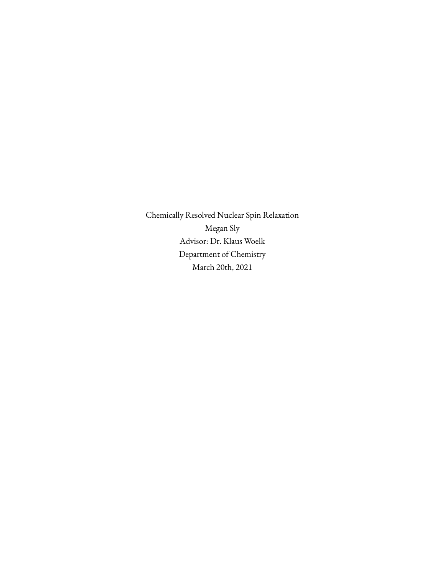Chemically Resolved Nuclear Spin Relaxation Megan Sly Advisor: Dr. Klaus Woelk Department of Chemistry March 20th, 2021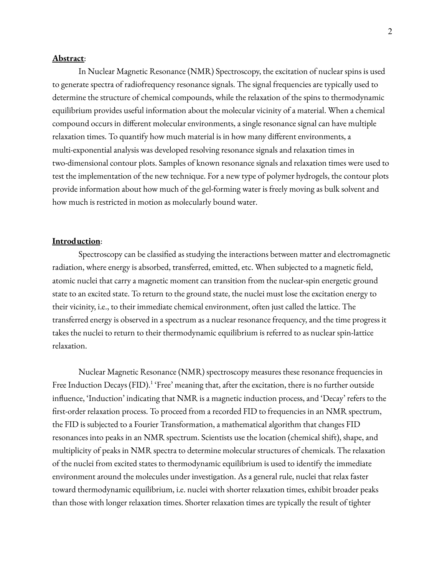# **Abstract**:

In Nuclear Magnetic Resonance (NMR) Spectroscopy, the excitation of nuclear spins is used to generate spectra of radiofrequency resonance signals. The signal frequencies are typically used to determine the structure of chemical compounds, while the relaxation of the spins to thermodynamic equilibrium provides useful information about the molecular vicinity of a material. When a chemical compound occurs in different molecular environments, a single resonance signal can have multiple relaxation times. To quantify how much material is in how many different environments, a multi-exponential analysis was developed resolving resonance signals and relaxation times in two-dimensional contour plots. Samples of known resonance signals and relaxation times were used to test the implementation of the new technique. For a new type of polymer hydrogels, the contour plots provide information about how much of the gel-forming water is freely moving as bulk solvent and how much is restricted in motion as molecularly bound water.

#### **Introduction**:

Spectroscopy can be classified as studying the interactions between matter and electromagnetic radiation, where energy is absorbed, transferred, emitted, etc. When subjected to a magnetic field, atomic nuclei that carry a magnetic moment can transition from the nuclear-spin energetic ground state to an excited state. To return to the ground state, the nuclei must lose the excitation energy to their vicinity, i.e., to their immediate chemical environment, often just called the lattice. The transferred energy is observed in a spectrum as a nuclear resonance frequency, and the time progress it takes the nuclei to return to their thermodynamic equilibrium is referred to as nuclear spin-lattice relaxation.

Nuclear Magnetic Resonance (NMR) spectroscopy measures these resonance frequencies in Free Induction Decays (FID).<sup>1</sup> 'Free' meaning that, after the excitation, there is no further outside influence, 'Induction' indicating that NMR is a magnetic induction process, and 'Decay' refers to the first-order relaxation process. To proceed from a recorded FID to frequencies in an NMR spectrum, the FID is subjected to a Fourier Transformation, a mathematical algorithm that changes FID resonances into peaks in an NMR spectrum. Scientists use the location (chemical shift), shape, and multiplicity of peaks in NMR spectra to determine molecular structures of chemicals. The relaxation of the nuclei from excited states to thermodynamic equilibrium is used to identify the immediate environment around the molecules under investigation. As a general rule, nuclei that relax faster toward thermodynamic equilibrium, i.e. nuclei with shorter relaxation times, exhibit broader peaks than those with longer relaxation times. Shorter relaxation times are typically the result of tighter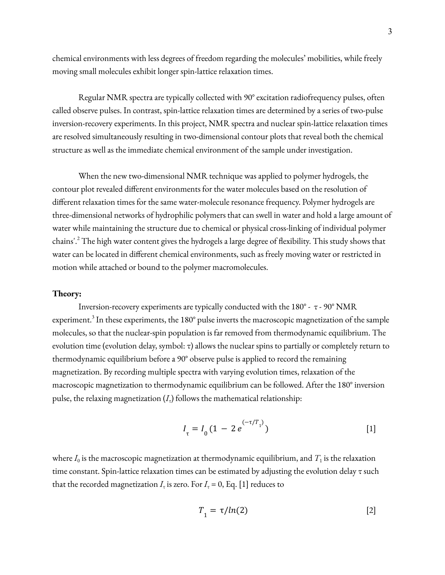chemical environments with less degrees of freedom regarding the molecules' mobilities, while freely moving small molecules exhibit longer spin-lattice relaxation times.

Regular NMR spectra are typically collected with 90° excitation radiofrequency pulses, often called observe pulses. In contrast, spin-lattice relaxation times are determined by a series of two-pulse inversion-recovery experiments. In this project, NMR spectra and nuclear spin-lattice relaxation times are resolved simultaneously resulting in two-dimensional contour plots that reveal both the chemical structure as well as the immediate chemical environment of the sample under investigation.

When the new two-dimensional NMR technique was applied to polymer hydrogels, the contour plot revealed different environments for the water molecules based on the resolution of different relaxation times for the same water-molecule resonance frequency. Polymer hydrogels are three-dimensional networks of hydrophilic polymers that can swell in water and hold a large amount of water while maintaining the structure due to chemical or physical cross-linking of individual polymer chains'. <sup>2</sup> The high water content gives the hydrogels a large degree of flexibility. This study shows that water can be located in different chemical environments, such as freely moving water or restricted in motion while attached or bound to the polymer macromolecules.

### **Theory:**

Inversion-recovery experiments are typically conducted with the  $180^\circ$  -  $\tau$  -  $90^\circ$  NMR experiment. $^3$  In these experiments, the 180° pulse inverts the macroscopic magnetization of the sample molecules, so that the nuclear-spin population is far removed from thermodynamic equilibrium. The evolution time (evolution delay, symbol:  $\tau$ ) allows the nuclear spins to partially or completely return to thermodynamic equilibrium before a 90° observe pulse is applied to record the remaining magnetization. By recording multiple spectra with varying evolution times, relaxation of the macroscopic magnetization to thermodynamic equilibrium can be followed. After the 180° inversion pulse, the relaxing magnetization  $(I<sub>z</sub>)$  follows the mathematical relationship:

$$
I_{\tau} = I_0 \left( 1 - 2 e^{(-\tau/T_1)} \right) \tag{1}
$$

where  $I_0$  is the macroscopic magnetization at thermodynamic equilibrium, and  $\,_1$  is the relaxation time constant. Spin-lattice relaxation times can be estimated by adjusting the evolution delay  $\tau$  such that the recorded magnetization  $I_{\tau}$  is zero. For  $I_{\tau} = 0$ , Eq. [1] reduces to

$$
T_1 = \tau / ln(2) \tag{2}
$$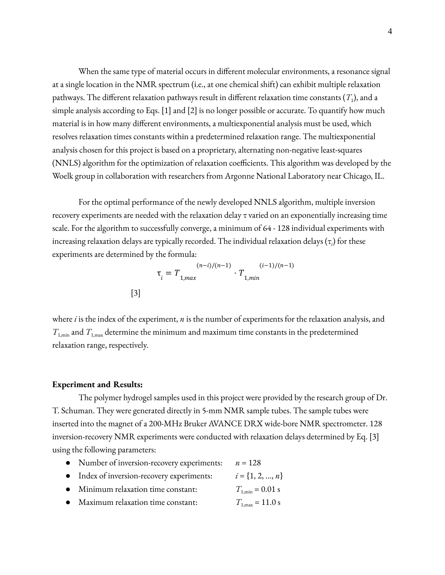When the same type of material occurs in different molecular environments, a resonance signal at a single location in the NMR spectrum (i.e., at one chemical shift) can exhibit multiple relaxation pathways. The different relaxation pathways result in different relaxation time constants  $(T_1)$ , and a simple analysis according to Eqs. [1] and [2] is no longer possible or accurate. To quantify how much material is in how many different environments, a multiexponential analysis must be used, which resolves relaxation times constants within a predetermined relaxation range. The multiexponential analysis chosen for this project is based on a proprietary, alternating non-negative least-squares (NNLS) algorithm for the optimization of relaxation coefficients. This algorithm was developed by the Woelk group in collaboration with researchers from Argonne National Laboratory near Chicago, IL.

For the optimal performance of the newly developed NNLS algorithm, multiple inversion recovery experiments are needed with the relaxation delay  $\tau$  varied on an exponentially increasing time scale. For the algorithm to successfully converge, a minimum of 64 - 128 individual experiments with increasing relaxation delays are typically recorded. The individual relaxation delays (τ*i*) for these experiments are determined by the formula:

$$
\tau_i = T_{1,max}^{(n-i)/(n-1)} \cdot T_{1,min}^{(i-1)/(n-1)}
$$

where *i* is the index of the experiment, *n* is the number of experiments for the relaxation analysis, and  $T_{1,\text{min}}$  and  $T_{1,\text{max}}$  determine the minimum and maximum time constants in the predetermined relaxation range, respectively.

### **Experiment and Results:**

[3]

The polymer hydrogel samples used in this project were provided by the research group of Dr. T. Schuman. They were generated directly in 5-mm NMR sample tubes. The sample tubes were inserted into the magnet of a 200-MHz Bruker AVANCE DRX wide-bore NMR spectrometer. 128 inversion-recovery NMR experiments were conducted with relaxation delays determined by Eq. [3] using the following parameters:

- Number of inversion-recovery experiments:  $n = 128$
- Index of inversion-recovery experiments:  $i = \{1, 2, ..., n\}$
- Minimum relaxation time constant:  $T_{1,\text{min}} = 0.01 \text{ s}$
- Maximum relaxation time constant:  $T_{1,\text{max}} = 11.0 \text{ s}$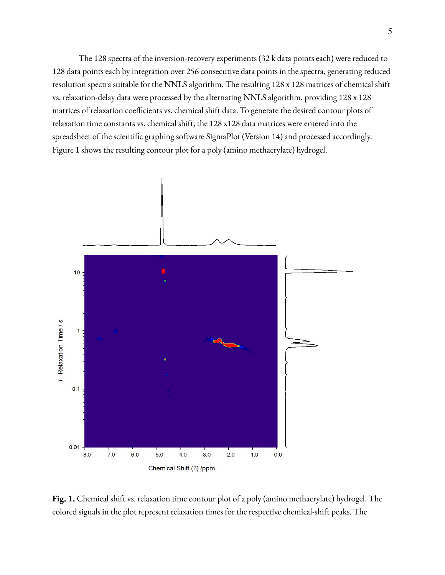The 128 spectra of the inversion-recovery experiments (32 k data points each) were reduced to 128 data points each by integration over 256 consecutive data points in the spectra, generating reduced resolution spectra suitable for the NNLS algorithm. The resulting 128 x 128 matrices of chemical shift vs. relaxation-delay data were processed by the alternating NNLS algorithm, providing 128 x 128 matrices of relaxation coefficients vs. chemical shift data. To generate the desired contour plots of relaxation time constants vs. chemical shift, the 128 x128 data matrices were entered into the spreadsheet of the scientific graphing software SigmaPlot (Version 14) and processed accordingly. Figure 1 shows the resulting contour plot for a poly (amino methacrylate) hydrogel.



**Fig. 1.** Chemical shift vs. relaxation time contour plot of a poly (amino methacrylate) hydrogel. The colored signals in the plot represent relaxation times for the respective chemical-shift peaks. The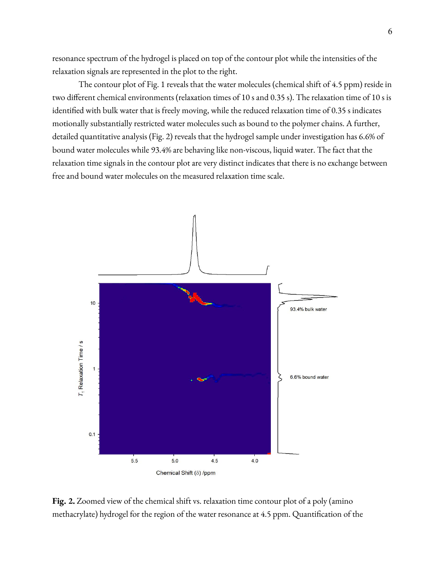resonance spectrum of the hydrogel is placed on top of the contour plot while the intensities of the relaxation signals are represented in the plot to the right.

The contour plot of Fig. 1 reveals that the water molecules (chemical shift of 4.5 ppm) reside in two different chemical environments (relaxation times of 10 s and 0.35 s). The relaxation time of 10 s is identified with bulk water that is freely moving, while the reduced relaxation time of 0.35 s indicates motionally substantially restricted water molecules such as bound to the polymer chains. A further, detailed quantitative analysis (Fig. 2) reveals that the hydrogel sample under investigation has 6.6% of bound water molecules while 93.4% are behaving like non-viscous, liquid water. The fact that the relaxation time signals in the contour plot are very distinct indicates that there is no exchange between free and bound water molecules on the measured relaxation time scale.



**Fig. 2.** Zoomed view of the chemical shift vs. relaxation time contour plot of a poly (amino methacrylate) hydrogel for the region of the water resonance at 4.5 ppm. Quantification of the